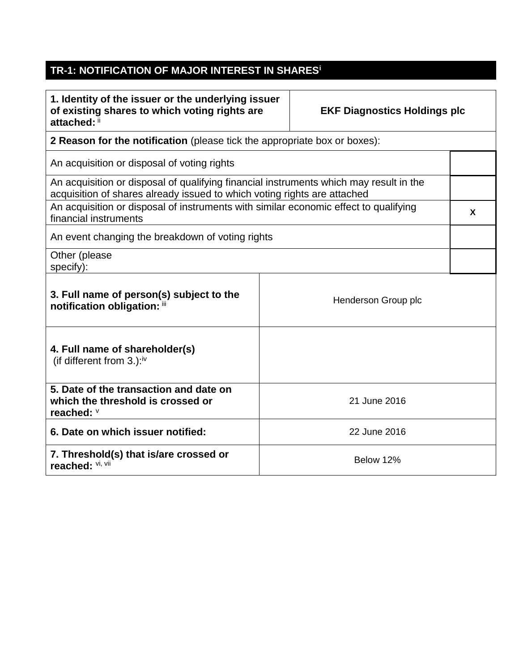## **TR-1: NOTIFICATION OF MAJOR INTEREST IN SHARES<sup>i</sup>**

| 1. Identity of the issuer or the underlying issuer<br>of existing shares to which voting rights are<br>attached: ii                                                |                     | <b>EKF Diagnostics Holdings plc</b> |   |
|--------------------------------------------------------------------------------------------------------------------------------------------------------------------|---------------------|-------------------------------------|---|
| 2 Reason for the notification (please tick the appropriate box or boxes):                                                                                          |                     |                                     |   |
| An acquisition or disposal of voting rights                                                                                                                        |                     |                                     |   |
| An acquisition or disposal of qualifying financial instruments which may result in the<br>acquisition of shares already issued to which voting rights are attached |                     |                                     |   |
| An acquisition or disposal of instruments with similar economic effect to qualifying<br>financial instruments                                                      |                     |                                     | X |
| An event changing the breakdown of voting rights                                                                                                                   |                     |                                     |   |
| Other (please<br>specify):                                                                                                                                         |                     |                                     |   |
| 3. Full name of person(s) subject to the<br>notification obligation: iii                                                                                           | Henderson Group plc |                                     |   |
| 4. Full name of shareholder(s)<br>(if different from $3.$ ): <sup>iv</sup>                                                                                         |                     |                                     |   |
| 5. Date of the transaction and date on<br>which the threshold is crossed or<br>reached: V                                                                          | 21 June 2016        |                                     |   |
| 6. Date on which issuer notified:                                                                                                                                  | 22 June 2016        |                                     |   |
| 7. Threshold(s) that is/are crossed or<br>reached: Vi, Vii                                                                                                         | Below 12%           |                                     |   |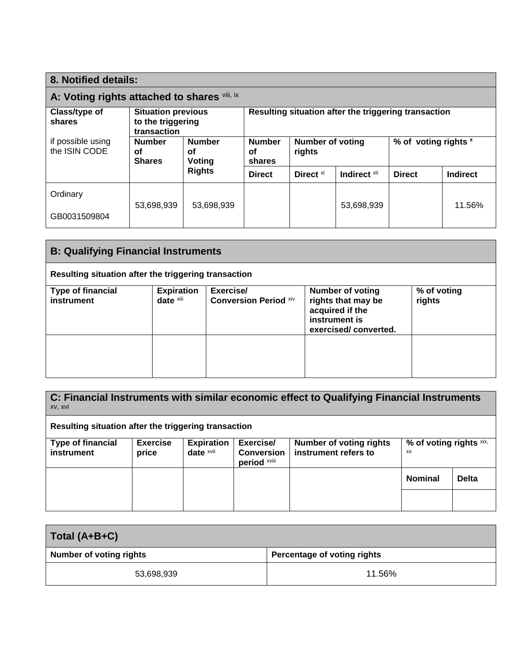| 8. Notified details:                         |                                                               |                               |                                                      |                            |              |                      |                 |
|----------------------------------------------|---------------------------------------------------------------|-------------------------------|------------------------------------------------------|----------------------------|--------------|----------------------|-----------------|
| A: Voting rights attached to shares Vill, ix |                                                               |                               |                                                      |                            |              |                      |                 |
| Class/type of<br>shares                      | <b>Situation previous</b><br>to the triggering<br>transaction |                               | Resulting situation after the triggering transaction |                            |              |                      |                 |
| if possible using<br>the ISIN CODE           | <b>Number</b><br>οf<br><b>Shares</b>                          | <b>Number</b><br>οf<br>Voting | <b>Number</b><br>οf<br>shares                        | Number of voting<br>rights |              | % of voting rights x |                 |
|                                              |                                                               | <b>Rights</b>                 | <b>Direct</b>                                        | Direct <sup>xi</sup>       | Indirect xii | <b>Direct</b>        | <b>Indirect</b> |
| Ordinary                                     | 53,698,939                                                    | 53,698,939                    |                                                      |                            | 53,698,939   |                      | 11.56%          |
| GB0031509804                                 |                                                               |                               |                                                      |                            |              |                      |                 |

| <b>B: Qualifying Financial Instruments</b>           |                                |                                           |                                                                                                           |                       |
|------------------------------------------------------|--------------------------------|-------------------------------------------|-----------------------------------------------------------------------------------------------------------|-----------------------|
| Resulting situation after the triggering transaction |                                |                                           |                                                                                                           |                       |
| <b>Type of financial</b><br>instrument               | <b>Expiration</b><br>date xiii | Exercise/<br><b>Conversion Period Xiv</b> | <b>Number of voting</b><br>rights that may be<br>acquired if the<br>instrument is<br>exercised/converted. | % of voting<br>rights |
|                                                      |                                |                                           |                                                                                                           |                       |

**C: Financial Instruments with similar economic effect to Qualifying Financial Instruments**  xv, xvi

**Resulting situation after the triggering transaction**

| <b>Type of financial</b><br>instrument | <b>Exercise</b><br>price | <b>Expiration</b><br>date xvii | Exercise/<br><b>Conversion</b><br>period xviii | <b>Number of voting rights</b><br>instrument refers to | % of voting rights xix,<br>XX |              |
|----------------------------------------|--------------------------|--------------------------------|------------------------------------------------|--------------------------------------------------------|-------------------------------|--------------|
|                                        |                          |                                |                                                |                                                        | <b>Nominal</b>                | <b>Delta</b> |
|                                        |                          |                                |                                                |                                                        |                               |              |

| Total (A+B+C)                  |                             |  |  |
|--------------------------------|-----------------------------|--|--|
| <b>Number of voting rights</b> | Percentage of voting rights |  |  |
| 53,698,939                     | 11.56%                      |  |  |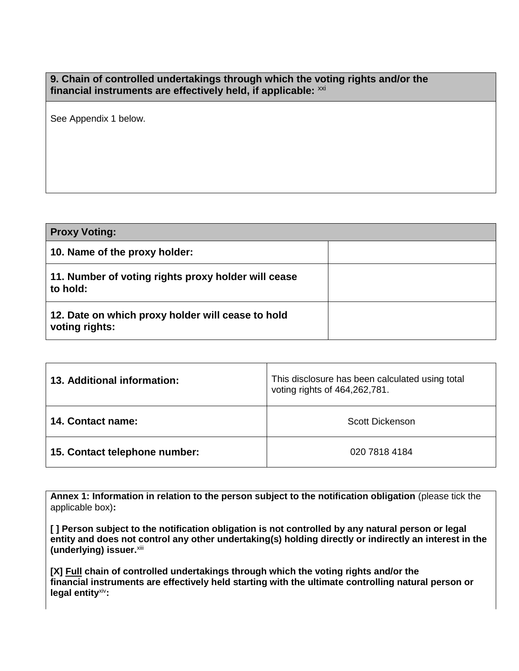**9. Chain of controlled undertakings through which the voting rights and/or the** financial instruments are effectively held, if applicable: xxi

See Appendix 1 below.

| <b>Proxy Voting:</b>                                                |  |
|---------------------------------------------------------------------|--|
| 10. Name of the proxy holder:                                       |  |
| 11. Number of voting rights proxy holder will cease<br>to hold:     |  |
| 12. Date on which proxy holder will cease to hold<br>voting rights: |  |

| 13. Additional information:   | This disclosure has been calculated using total<br>voting rights of 464,262,781. |  |  |
|-------------------------------|----------------------------------------------------------------------------------|--|--|
| 14. Contact name:             | Scott Dickenson                                                                  |  |  |
| 15. Contact telephone number: | 020 7818 4184                                                                    |  |  |

**Annex 1: Information in relation to the person subject to the notification obligation** (please tick the applicable box)**:**

**[ ] Person subject to the notification obligation is not controlled by any natural person or legal entity and does not control any other undertaking(s) holding directly or indirectly an interest in the (underlying) issuer.**xiii

**[X] Full chain of controlled undertakings through which the voting rights and/or the financial instruments are effectively held starting with the ultimate controlling natural person or legal entity**xiv**:**